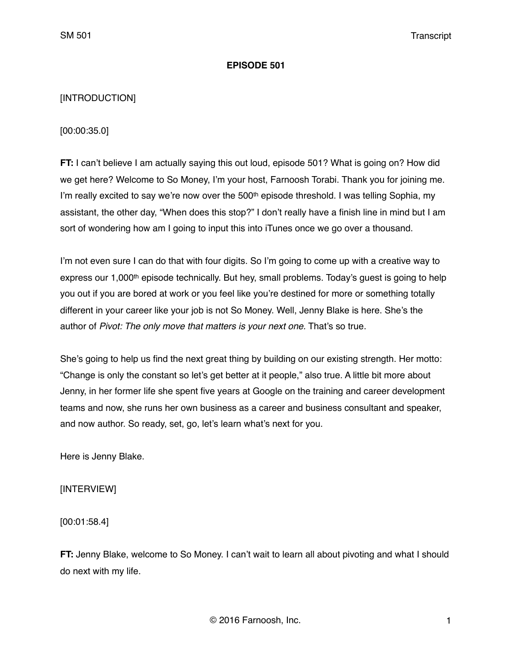## **EPISODE 501**

# [INTRODUCTION]

[00:00:35.0]

**FT:** I can't believe I am actually saying this out loud, episode 501? What is going on? How did we get here? Welcome to So Money, I'm your host, Farnoosh Torabi. Thank you for joining me. I'm really excited to say we're now over the 500<sup>th</sup> episode threshold. I was telling Sophia, my assistant, the other day, "When does this stop?" I don't really have a finish line in mind but I am sort of wondering how am I going to input this into iTunes once we go over a thousand.

I'm not even sure I can do that with four digits. So I'm going to come up with a creative way to express our 1,000<sup>th</sup> episode technically. But hey, small problems. Today's quest is going to help you out if you are bored at work or you feel like you're destined for more or something totally different in your career like your job is not So Money. Well, Jenny Blake is here. She's the author of *Pivot: The only move that matters is your next one.* That's so true.

She's going to help us find the next great thing by building on our existing strength. Her motto: "Change is only the constant so let's get better at it people," also true. A little bit more about Jenny, in her former life she spent five years at Google on the training and career development teams and now, she runs her own business as a career and business consultant and speaker, and now author. So ready, set, go, let's learn what's next for you.

Here is Jenny Blake.

[INTERVIEW]

[00:01:58.4]

**FT:** Jenny Blake, welcome to So Money. I can't wait to learn all about pivoting and what I should do next with my life.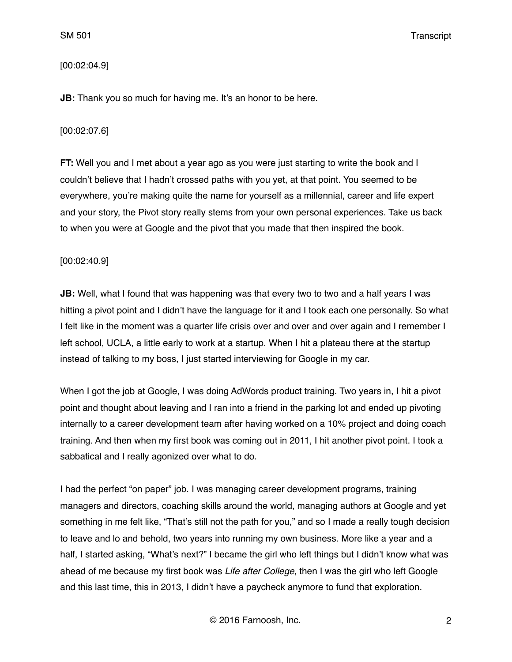## [00:02:04.9]

**JB:** Thank you so much for having me. It's an honor to be here.

## [00:02:07.6]

**FT:** Well you and I met about a year ago as you were just starting to write the book and I couldn't believe that I hadn't crossed paths with you yet, at that point. You seemed to be everywhere, you're making quite the name for yourself as a millennial, career and life expert and your story, the Pivot story really stems from your own personal experiences. Take us back to when you were at Google and the pivot that you made that then inspired the book.

## [00:02:40.9]

**JB:** Well, what I found that was happening was that every two to two and a half years I was hitting a pivot point and I didn't have the language for it and I took each one personally. So what I felt like in the moment was a quarter life crisis over and over and over again and I remember I left school, UCLA, a little early to work at a startup. When I hit a plateau there at the startup instead of talking to my boss, I just started interviewing for Google in my car.

When I got the job at Google, I was doing AdWords product training. Two years in, I hit a pivot point and thought about leaving and I ran into a friend in the parking lot and ended up pivoting internally to a career development team after having worked on a 10% project and doing coach training. And then when my first book was coming out in 2011, I hit another pivot point. I took a sabbatical and I really agonized over what to do.

I had the perfect "on paper" job. I was managing career development programs, training managers and directors, coaching skills around the world, managing authors at Google and yet something in me felt like, "That's still not the path for you," and so I made a really tough decision to leave and lo and behold, two years into running my own business. More like a year and a half, I started asking, "What's next?" I became the girl who left things but I didn't know what was ahead of me because my first book was *Life after College*, then I was the girl who left Google and this last time, this in 2013, I didn't have a paycheck anymore to fund that exploration.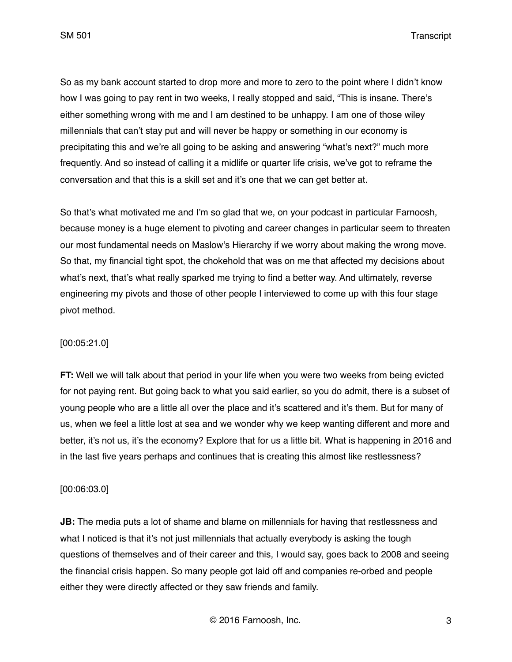So as my bank account started to drop more and more to zero to the point where I didn't know how I was going to pay rent in two weeks, I really stopped and said, "This is insane. There's either something wrong with me and I am destined to be unhappy. I am one of those wiley millennials that can't stay put and will never be happy or something in our economy is precipitating this and we're all going to be asking and answering "what's next?" much more frequently. And so instead of calling it a midlife or quarter life crisis, we've got to reframe the conversation and that this is a skill set and it's one that we can get better at.

So that's what motivated me and I'm so glad that we, on your podcast in particular Farnoosh, because money is a huge element to pivoting and career changes in particular seem to threaten our most fundamental needs on Maslow's Hierarchy if we worry about making the wrong move. So that, my financial tight spot, the chokehold that was on me that affected my decisions about what's next, that's what really sparked me trying to find a better way. And ultimately, reverse engineering my pivots and those of other people I interviewed to come up with this four stage pivot method.

# [00:05:21.0]

**FT:** Well we will talk about that period in your life when you were two weeks from being evicted for not paying rent. But going back to what you said earlier, so you do admit, there is a subset of young people who are a little all over the place and it's scattered and it's them. But for many of us, when we feel a little lost at sea and we wonder why we keep wanting different and more and better, it's not us, it's the economy? Explore that for us a little bit. What is happening in 2016 and in the last five years perhaps and continues that is creating this almost like restlessness?

#### [00:06:03.0]

**JB:** The media puts a lot of shame and blame on millennials for having that restlessness and what I noticed is that it's not just millennials that actually everybody is asking the tough questions of themselves and of their career and this, I would say, goes back to 2008 and seeing the financial crisis happen. So many people got laid off and companies re-orbed and people either they were directly affected or they saw friends and family.

© 2016 Farnoosh, Inc. 3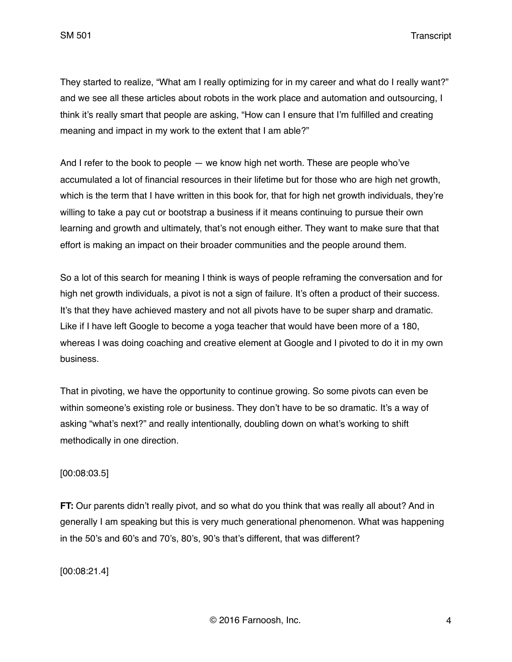They started to realize, "What am I really optimizing for in my career and what do I really want?" and we see all these articles about robots in the work place and automation and outsourcing, I think it's really smart that people are asking, "How can I ensure that I'm fulfilled and creating meaning and impact in my work to the extent that I am able?"

And I refer to the book to people — we know high net worth. These are people who've accumulated a lot of financial resources in their lifetime but for those who are high net growth, which is the term that I have written in this book for, that for high net growth individuals, they're willing to take a pay cut or bootstrap a business if it means continuing to pursue their own learning and growth and ultimately, that's not enough either. They want to make sure that that effort is making an impact on their broader communities and the people around them.

So a lot of this search for meaning I think is ways of people reframing the conversation and for high net growth individuals, a pivot is not a sign of failure. It's often a product of their success. It's that they have achieved mastery and not all pivots have to be super sharp and dramatic. Like if I have left Google to become a yoga teacher that would have been more of a 180, whereas I was doing coaching and creative element at Google and I pivoted to do it in my own business.

That in pivoting, we have the opportunity to continue growing. So some pivots can even be within someone's existing role or business. They don't have to be so dramatic. It's a way of asking "what's next?" and really intentionally, doubling down on what's working to shift methodically in one direction.

# [00:08:03.5]

**FT:** Our parents didn't really pivot, and so what do you think that was really all about? And in generally I am speaking but this is very much generational phenomenon. What was happening in the 50's and 60's and 70's, 80's, 90's that's different, that was different?

[00:08:21.4]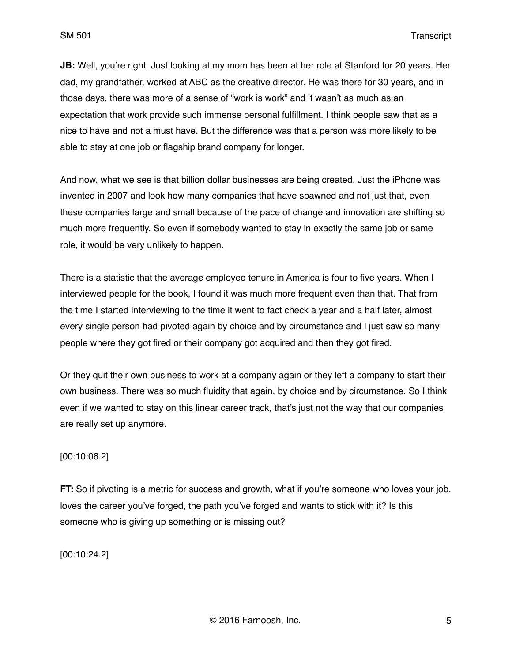**JB:** Well, you're right. Just looking at my mom has been at her role at Stanford for 20 years. Her dad, my grandfather, worked at ABC as the creative director. He was there for 30 years, and in those days, there was more of a sense of "work is work" and it wasn't as much as an expectation that work provide such immense personal fulfillment. I think people saw that as a nice to have and not a must have. But the difference was that a person was more likely to be able to stay at one job or flagship brand company for longer.

And now, what we see is that billion dollar businesses are being created. Just the iPhone was invented in 2007 and look how many companies that have spawned and not just that, even these companies large and small because of the pace of change and innovation are shifting so much more frequently. So even if somebody wanted to stay in exactly the same job or same role, it would be very unlikely to happen.

There is a statistic that the average employee tenure in America is four to five years. When I interviewed people for the book, I found it was much more frequent even than that. That from the time I started interviewing to the time it went to fact check a year and a half later, almost every single person had pivoted again by choice and by circumstance and I just saw so many people where they got fired or their company got acquired and then they got fired.

Or they quit their own business to work at a company again or they left a company to start their own business. There was so much fluidity that again, by choice and by circumstance. So I think even if we wanted to stay on this linear career track, that's just not the way that our companies are really set up anymore.

### [00:10:06.2]

**FT:** So if pivoting is a metric for success and growth, what if you're someone who loves your job, loves the career you've forged, the path you've forged and wants to stick with it? Is this someone who is giving up something or is missing out?

[00:10:24.2]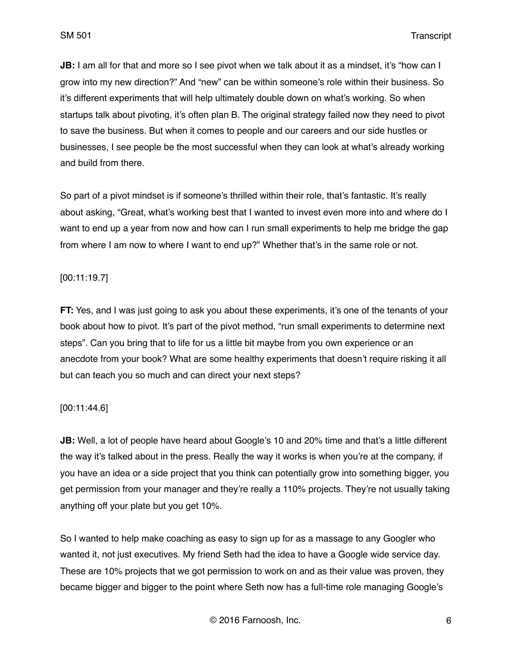**JB:** I am all for that and more so I see pivot when we talk about it as a mindset, it's "how can I grow into my new direction?" And "new" can be within someone's role within their business. So it's different experiments that will help ultimately double down on what's working. So when startups talk about pivoting, it's often plan B. The original strategy failed now they need to pivot to save the business. But when it comes to people and our careers and our side hustles or businesses, I see people be the most successful when they can look at what's already working and build from there.

So part of a pivot mindset is if someone's thrilled within their role, that's fantastic. It's really about asking, "Great, what's working best that I wanted to invest even more into and where do I want to end up a year from now and how can I run small experiments to help me bridge the gap from where I am now to where I want to end up?" Whether that's in the same role or not.

## [00:11:19.7]

**FT:** Yes, and I was just going to ask you about these experiments, it's one of the tenants of your book about how to pivot. It's part of the pivot method, "run small experiments to determine next steps". Can you bring that to life for us a little bit maybe from you own experience or an anecdote from your book? What are some healthy experiments that doesn't require risking it all but can teach you so much and can direct your next steps?

## [00:11:44.6]

**JB:** Well, a lot of people have heard about Google's 10 and 20% time and that's a little different the way it's talked about in the press. Really the way it works is when you're at the company, if you have an idea or a side project that you think can potentially grow into something bigger, you get permission from your manager and they're really a 110% projects. They're not usually taking anything off your plate but you get 10%.

So I wanted to help make coaching as easy to sign up for as a massage to any Googler who wanted it, not just executives. My friend Seth had the idea to have a Google wide service day. These are 10% projects that we got permission to work on and as their value was proven, they became bigger and bigger to the point where Seth now has a full-time role managing Google's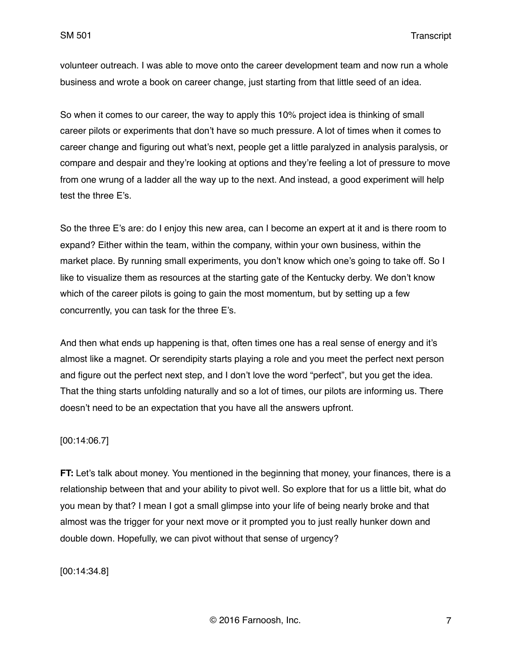volunteer outreach. I was able to move onto the career development team and now run a whole business and wrote a book on career change, just starting from that little seed of an idea.

So when it comes to our career, the way to apply this 10% project idea is thinking of small career pilots or experiments that don't have so much pressure. A lot of times when it comes to career change and figuring out what's next, people get a little paralyzed in analysis paralysis, or compare and despair and they're looking at options and they're feeling a lot of pressure to move from one wrung of a ladder all the way up to the next. And instead, a good experiment will help test the three E's.

So the three E's are: do I enjoy this new area, can I become an expert at it and is there room to expand? Either within the team, within the company, within your own business, within the market place. By running small experiments, you don't know which one's going to take off. So I like to visualize them as resources at the starting gate of the Kentucky derby. We don't know which of the career pilots is going to gain the most momentum, but by setting up a few concurrently, you can task for the three E's.

And then what ends up happening is that, often times one has a real sense of energy and it's almost like a magnet. Or serendipity starts playing a role and you meet the perfect next person and figure out the perfect next step, and I don't love the word "perfect", but you get the idea. That the thing starts unfolding naturally and so a lot of times, our pilots are informing us. There doesn't need to be an expectation that you have all the answers upfront.

#### [00:14:06.7]

**FT:** Let's talk about money. You mentioned in the beginning that money, your finances, there is a relationship between that and your ability to pivot well. So explore that for us a little bit, what do you mean by that? I mean I got a small glimpse into your life of being nearly broke and that almost was the trigger for your next move or it prompted you to just really hunker down and double down. Hopefully, we can pivot without that sense of urgency?

[00:14:34.8]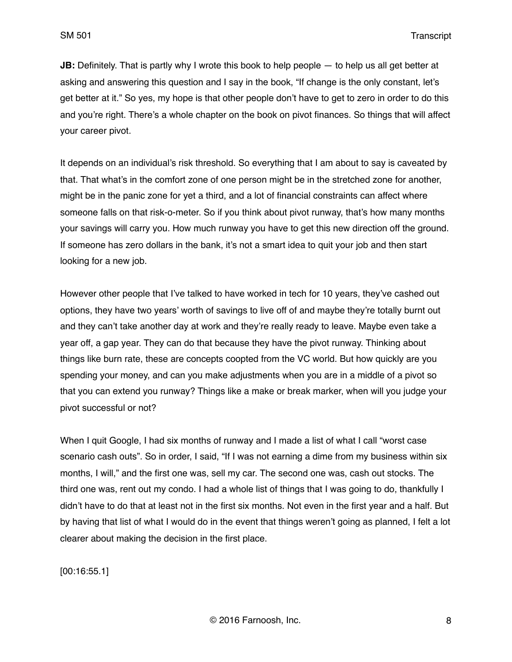**JB:** Definitely. That is partly why I wrote this book to help people — to help us all get better at asking and answering this question and I say in the book, "If change is the only constant, let's get better at it." So yes, my hope is that other people don't have to get to zero in order to do this and you're right. There's a whole chapter on the book on pivot finances. So things that will affect your career pivot.

It depends on an individual's risk threshold. So everything that I am about to say is caveated by that. That what's in the comfort zone of one person might be in the stretched zone for another, might be in the panic zone for yet a third, and a lot of financial constraints can affect where someone falls on that risk-o-meter. So if you think about pivot runway, that's how many months your savings will carry you. How much runway you have to get this new direction off the ground. If someone has zero dollars in the bank, it's not a smart idea to quit your job and then start looking for a new job.

However other people that I've talked to have worked in tech for 10 years, they've cashed out options, they have two years' worth of savings to live off of and maybe they're totally burnt out and they can't take another day at work and they're really ready to leave. Maybe even take a year off, a gap year. They can do that because they have the pivot runway. Thinking about things like burn rate, these are concepts coopted from the VC world. But how quickly are you spending your money, and can you make adjustments when you are in a middle of a pivot so that you can extend you runway? Things like a make or break marker, when will you judge your pivot successful or not?

When I quit Google, I had six months of runway and I made a list of what I call "worst case scenario cash outs". So in order, I said, "If I was not earning a dime from my business within six months, I will," and the first one was, sell my car. The second one was, cash out stocks. The third one was, rent out my condo. I had a whole list of things that I was going to do, thankfully I didn't have to do that at least not in the first six months. Not even in the first year and a half. But by having that list of what I would do in the event that things weren't going as planned, I felt a lot clearer about making the decision in the first place.

[00:16:55.1]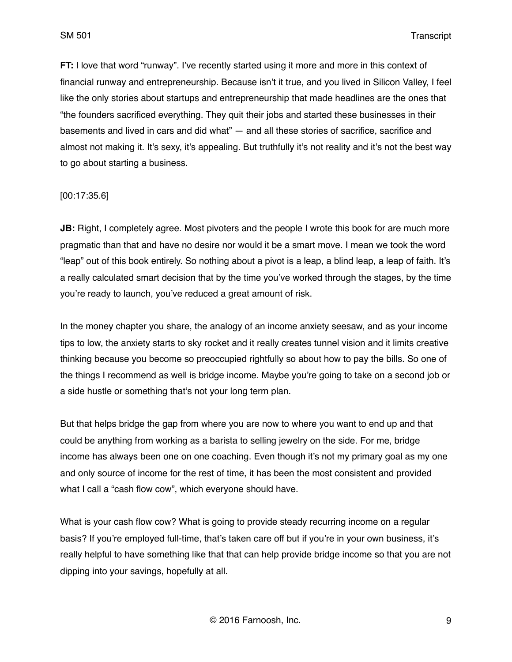**FT:** I love that word "runway". I've recently started using it more and more in this context of financial runway and entrepreneurship. Because isn't it true, and you lived in Silicon Valley, I feel like the only stories about startups and entrepreneurship that made headlines are the ones that "the founders sacrificed everything. They quit their jobs and started these businesses in their basements and lived in cars and did what" — and all these stories of sacrifice, sacrifice and almost not making it. It's sexy, it's appealing. But truthfully it's not reality and it's not the best way to go about starting a business.

## [00:17:35.6]

**JB:** Right, I completely agree. Most pivoters and the people I wrote this book for are much more pragmatic than that and have no desire nor would it be a smart move. I mean we took the word "leap" out of this book entirely. So nothing about a pivot is a leap, a blind leap, a leap of faith. It's a really calculated smart decision that by the time you've worked through the stages, by the time you're ready to launch, you've reduced a great amount of risk.

In the money chapter you share, the analogy of an income anxiety seesaw, and as your income tips to low, the anxiety starts to sky rocket and it really creates tunnel vision and it limits creative thinking because you become so preoccupied rightfully so about how to pay the bills. So one of the things I recommend as well is bridge income. Maybe you're going to take on a second job or a side hustle or something that's not your long term plan.

But that helps bridge the gap from where you are now to where you want to end up and that could be anything from working as a barista to selling jewelry on the side. For me, bridge income has always been one on one coaching. Even though it's not my primary goal as my one and only source of income for the rest of time, it has been the most consistent and provided what I call a "cash flow cow", which everyone should have.

What is your cash flow cow? What is going to provide steady recurring income on a regular basis? If you're employed full-time, that's taken care off but if you're in your own business, it's really helpful to have something like that that can help provide bridge income so that you are not dipping into your savings, hopefully at all.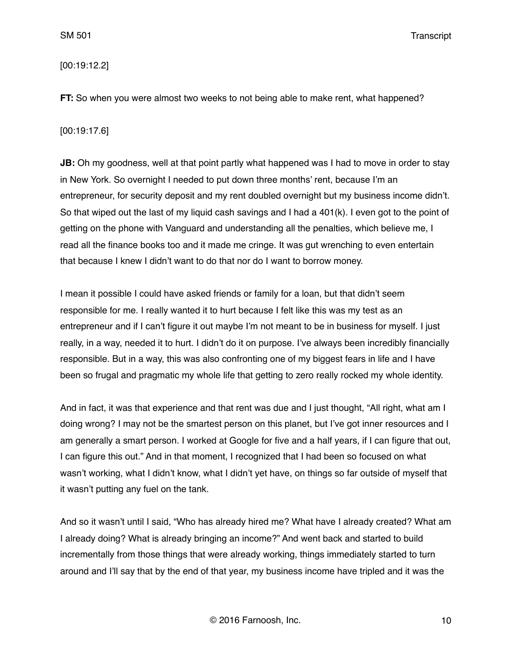### [00:19:12.2]

**FT:** So when you were almost two weeks to not being able to make rent, what happened?

### [00:19:17.6]

**JB:** Oh my goodness, well at that point partly what happened was I had to move in order to stay in New York. So overnight I needed to put down three months' rent, because I'm an entrepreneur, for security deposit and my rent doubled overnight but my business income didn't. So that wiped out the last of my liquid cash savings and I had a 401(k). I even got to the point of getting on the phone with Vanguard and understanding all the penalties, which believe me, I read all the finance books too and it made me cringe. It was gut wrenching to even entertain that because I knew I didn't want to do that nor do I want to borrow money.

I mean it possible I could have asked friends or family for a loan, but that didn't seem responsible for me. I really wanted it to hurt because I felt like this was my test as an entrepreneur and if I can't figure it out maybe I'm not meant to be in business for myself. I just really, in a way, needed it to hurt. I didn't do it on purpose. I've always been incredibly financially responsible. But in a way, this was also confronting one of my biggest fears in life and I have been so frugal and pragmatic my whole life that getting to zero really rocked my whole identity.

And in fact, it was that experience and that rent was due and I just thought, "All right, what am I doing wrong? I may not be the smartest person on this planet, but I've got inner resources and I am generally a smart person. I worked at Google for five and a half years, if I can figure that out, I can figure this out." And in that moment, I recognized that I had been so focused on what wasn't working, what I didn't know, what I didn't yet have, on things so far outside of myself that it wasn't putting any fuel on the tank.

And so it wasn't until I said, "Who has already hired me? What have I already created? What am I already doing? What is already bringing an income?" And went back and started to build incrementally from those things that were already working, things immediately started to turn around and I'll say that by the end of that year, my business income have tripled and it was the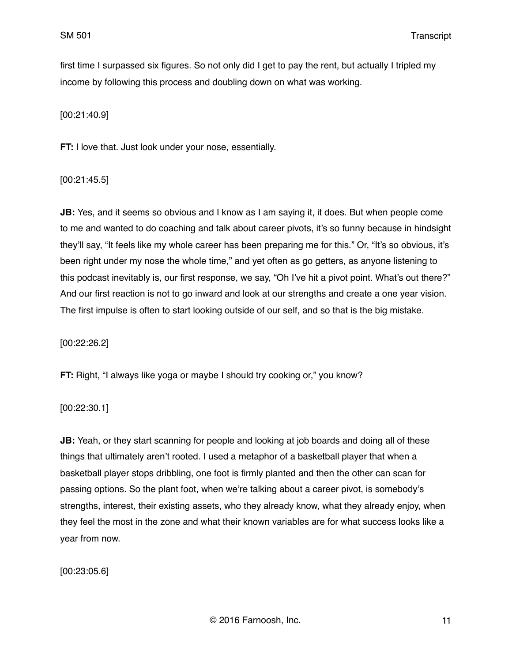first time I surpassed six figures. So not only did I get to pay the rent, but actually I tripled my income by following this process and doubling down on what was working.

[00:21:40.9]

**FT:** I love that. Just look under your nose, essentially.

[00:21:45.5]

**JB:** Yes, and it seems so obvious and I know as I am saying it, it does. But when people come to me and wanted to do coaching and talk about career pivots, it's so funny because in hindsight they'll say, "It feels like my whole career has been preparing me for this." Or, "It's so obvious, it's been right under my nose the whole time," and yet often as go getters, as anyone listening to this podcast inevitably is, our first response, we say, "Oh I've hit a pivot point. What's out there?" And our first reaction is not to go inward and look at our strengths and create a one year vision. The first impulse is often to start looking outside of our self, and so that is the big mistake.

[00:22:26.2]

**FT:** Right, "I always like yoga or maybe I should try cooking or," you know?

[00:22:30.1]

**JB:** Yeah, or they start scanning for people and looking at job boards and doing all of these things that ultimately aren't rooted. I used a metaphor of a basketball player that when a basketball player stops dribbling, one foot is firmly planted and then the other can scan for passing options. So the plant foot, when we're talking about a career pivot, is somebody's strengths, interest, their existing assets, who they already know, what they already enjoy, when they feel the most in the zone and what their known variables are for what success looks like a year from now.

[00:23:05.6]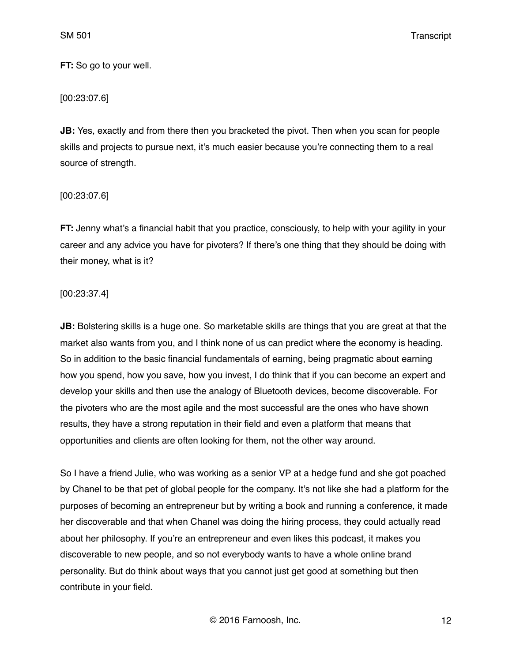**FT:** So go to your well.

[00:23:07.6]

**JB:** Yes, exactly and from there then you bracketed the pivot. Then when you scan for people skills and projects to pursue next, it's much easier because you're connecting them to a real source of strength.

[00:23:07.6]

**FT:** Jenny what's a financial habit that you practice, consciously, to help with your agility in your career and any advice you have for pivoters? If there's one thing that they should be doing with their money, what is it?

[00:23:37.4]

**JB:** Bolstering skills is a huge one. So marketable skills are things that you are great at that the market also wants from you, and I think none of us can predict where the economy is heading. So in addition to the basic financial fundamentals of earning, being pragmatic about earning how you spend, how you save, how you invest, I do think that if you can become an expert and develop your skills and then use the analogy of Bluetooth devices, become discoverable. For the pivoters who are the most agile and the most successful are the ones who have shown results, they have a strong reputation in their field and even a platform that means that opportunities and clients are often looking for them, not the other way around.

So I have a friend Julie, who was working as a senior VP at a hedge fund and she got poached by Chanel to be that pet of global people for the company. It's not like she had a platform for the purposes of becoming an entrepreneur but by writing a book and running a conference, it made her discoverable and that when Chanel was doing the hiring process, they could actually read about her philosophy. If you're an entrepreneur and even likes this podcast, it makes you discoverable to new people, and so not everybody wants to have a whole online brand personality. But do think about ways that you cannot just get good at something but then contribute in your field.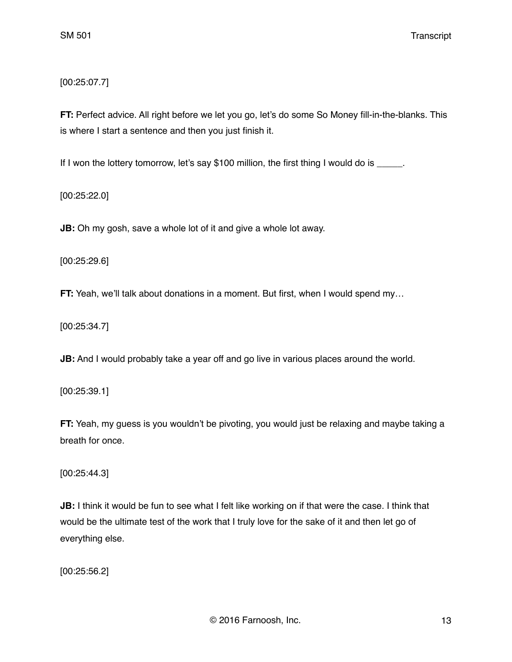[00:25:07.7]

**FT:** Perfect advice. All right before we let you go, let's do some So Money fill-in-the-blanks. This is where I start a sentence and then you just finish it.

If I won the lottery tomorrow, let's say \$100 million, the first thing I would do is \_\_\_\_\_.

[00:25:22.0]

**JB:** Oh my gosh, save a whole lot of it and give a whole lot away.

[00:25:29.6]

**FT:** Yeah, we'll talk about donations in a moment. But first, when I would spend my...

[00:25:34.7]

**JB:** And I would probably take a year off and go live in various places around the world.

[00:25:39.1]

**FT:** Yeah, my guess is you wouldn't be pivoting, you would just be relaxing and maybe taking a breath for once.

[00:25:44.3]

**JB:** I think it would be fun to see what I felt like working on if that were the case. I think that would be the ultimate test of the work that I truly love for the sake of it and then let go of everything else.

[00:25:56.2]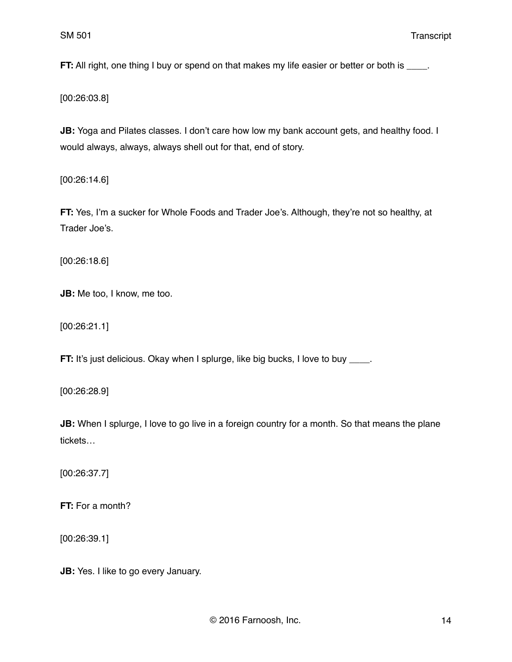**FT:** All right, one thing I buy or spend on that makes my life easier or better or both is \_\_\_\_.

[00:26:03.8]

**JB:** Yoga and Pilates classes. I don't care how low my bank account gets, and healthy food. I would always, always, always shell out for that, end of story.

[00:26:14.6]

**FT:** Yes, I'm a sucker for Whole Foods and Trader Joe's. Although, they're not so healthy, at Trader Joe's.

[00:26:18.6]

**JB:** Me too, I know, me too.

[00:26:21.1]

**FT:** It's just delicious. Okay when I splurge, like big bucks, I love to buy \_\_\_\_.

[00:26:28.9]

**JB:** When I splurge, I love to go live in a foreign country for a month. So that means the plane tickets…

[00:26:37.7]

**FT:** For a month?

[00:26:39.1]

**JB:** Yes. I like to go every January.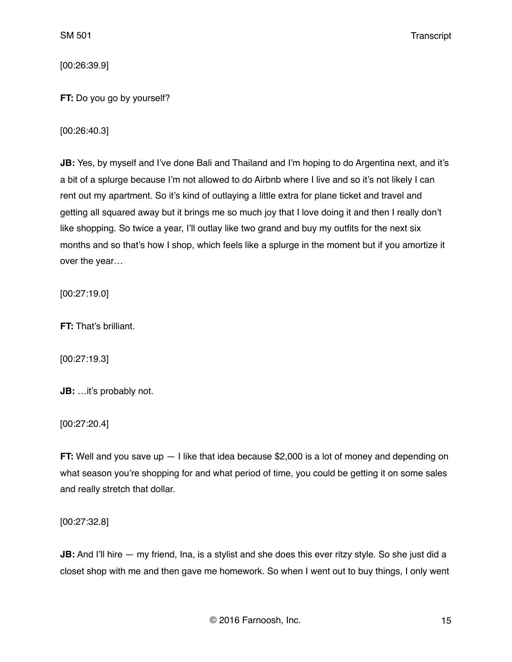[00:26:39.9]

**FT:** Do you go by yourself?

[00:26:40.3]

JB: Yes, by myself and I've done Bali and Thailand and I'm hoping to do Argentina next, and it's a bit of a splurge because I'm not allowed to do Airbnb where I live and so it's not likely I can rent out my apartment. So it's kind of outlaying a little extra for plane ticket and travel and getting all squared away but it brings me so much joy that I love doing it and then I really don't like shopping. So twice a year, I'll outlay like two grand and buy my outfits for the next six months and so that's how I shop, which feels like a splurge in the moment but if you amortize it over the year…

[00:27:19.0]

**FT:** That's brilliant.

[00:27:19.3]

**JB:** …it's probably not.

[00:27:20.4]

**FT:** Well and you save up  $-1$  like that idea because \$2,000 is a lot of money and depending on what season you're shopping for and what period of time, you could be getting it on some sales and really stretch that dollar.

[00:27:32.8]

**JB:** And I'll hire — my friend, Ina, is a stylist and she does this ever ritzy style. So she just did a closet shop with me and then gave me homework. So when I went out to buy things, I only went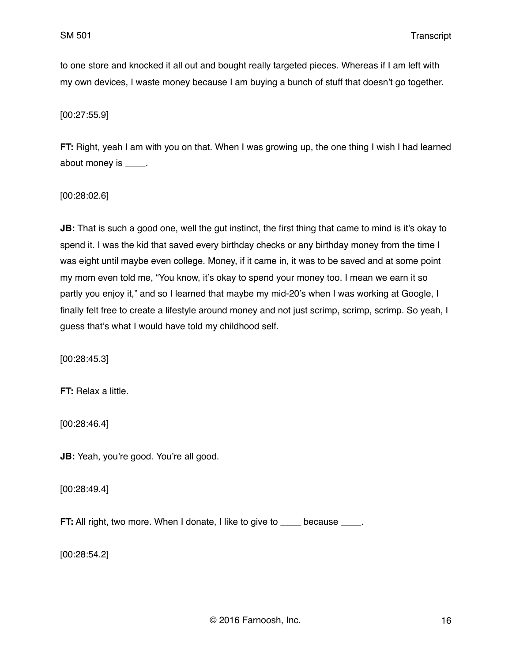to one store and knocked it all out and bought really targeted pieces. Whereas if I am left with my own devices, I waste money because I am buying a bunch of stuff that doesn't go together.

[00:27:55.9]

**FT:** Right, yeah I am with you on that. When I was growing up, the one thing I wish I had learned about money is \_\_\_\_.

[00:28:02.6]

**JB:** That is such a good one, well the gut instinct, the first thing that came to mind is it's okay to spend it. I was the kid that saved every birthday checks or any birthday money from the time I was eight until maybe even college. Money, if it came in, it was to be saved and at some point my mom even told me, "You know, it's okay to spend your money too. I mean we earn it so partly you enjoy it," and so I learned that maybe my mid-20's when I was working at Google, I finally felt free to create a lifestyle around money and not just scrimp, scrimp, scrimp. So yeah, I guess that's what I would have told my childhood self.

[00:28:45.3]

**FT:** Relax a little.

[00:28:46.4]

**JB:** Yeah, you're good. You're all good.

[00:28:49.4]

**FT:** All right, two more. When I donate, I like to give to \_\_\_\_\_ because \_\_\_\_.

[00:28:54.2]